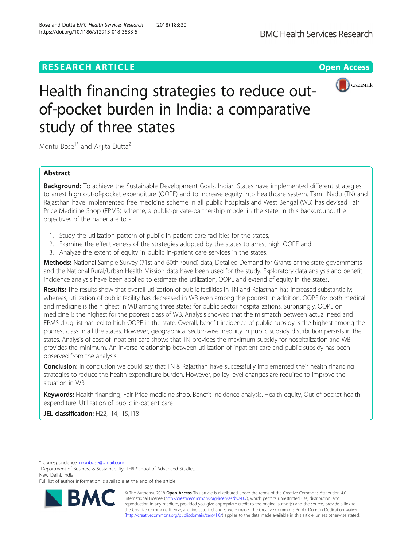# **RESEARCH ARTICLE Example 2018 12:30 The CONSTRUCTION CONSTRUCTION Open Access**





# Health financing strategies to reduce outof-pocket burden in India: a comparative study of three states

Montu Bose $1^*$  and Arijita Dutta<sup>2</sup>

## Abstract

Background: To achieve the Sustainable Development Goals, Indian States have implemented different strategies to arrest high out-of-pocket expenditure (OOPE) and to increase equity into healthcare system. Tamil Nadu (TN) and Rajasthan have implemented free medicine scheme in all public hospitals and West Bengal (WB) has devised Fair Price Medicine Shop (FPMS) scheme, a public-private-partnership model in the state. In this background, the objectives of the paper are to -

- 1. Study the utilization pattern of public in-patient care facilities for the states,
- 2. Examine the effectiveness of the strategies adopted by the states to arrest high OOPE and
- 3. Analyze the extent of equity in public in-patient care services in the states.

Methods: National Sample Survey (71st and 60th round) data, Detailed Demand for Grants of the state governments and the National Rural/Urban Health Mission data have been used for the study. Exploratory data analysis and benefit incidence analysis have been applied to estimate the utilization, OOPE and extend of equity in the states.

Results: The results show that overall utilization of public facilities in TN and Rajasthan has increased substantially; whereas, utilization of public facility has decreased in WB even among the poorest. In addition, OOPE for both medical and medicine is the highest in WB among three states for public sector hospitalizations. Surprisingly, OOPE on medicine is the highest for the poorest class of WB. Analysis showed that the mismatch between actual need and FPMS drug-list has led to high OOPE in the state. Overall, benefit incidence of public subsidy is the highest among the poorest class in all the states. However, geographical sector-wise inequity in public subsidy distribution persists in the states. Analysis of cost of inpatient care shows that TN provides the maximum subsidy for hospitalization and WB provides the minimum. An inverse relationship between utilization of inpatient care and public subsidy has been observed from the analysis.

**Conclusion:** In conclusion we could say that TN & Rajasthan have successfully implemented their health financing strategies to reduce the health expenditure burden. However, policy-level changes are required to improve the situation in WB.

Keywords: Health financing, Fair Price medicine shop, Benefit incidence analysis, Health equity, Out-of-pocket health expenditure, Utilization of public in-patient care

JEL classification: H22, I14, I15, I18

\* Correspondence: [monbose@gmail.com](mailto:monbose@gmail.com) <sup>1</sup>

<sup>1</sup>Department of Business & Sustainability, TERI School of Advanced Studies, New Delhi, India

Full list of author information is available at the end of the article



© The Author(s). 2018 Open Access This article is distributed under the terms of the Creative Commons Attribution 4.0 International License [\(http://creativecommons.org/licenses/by/4.0/](http://creativecommons.org/licenses/by/4.0/)), which permits unrestricted use, distribution, and reproduction in any medium, provided you give appropriate credit to the original author(s) and the source, provide a link to the Creative Commons license, and indicate if changes were made. The Creative Commons Public Domain Dedication waiver [\(http://creativecommons.org/publicdomain/zero/1.0/](http://creativecommons.org/publicdomain/zero/1.0/)) applies to the data made available in this article, unless otherwise stated.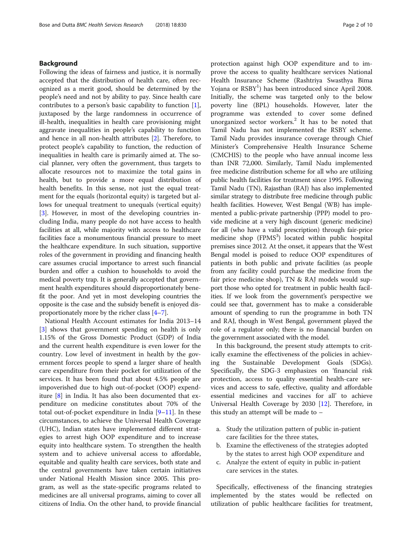## <span id="page-1-0"></span>Background

Following the ideas of fairness and justice, it is normally accepted that the distribution of health care, often recognized as a merit good, should be determined by the people's need and not by ability to pay. Since health care contributes to a person's basic capability to function [\[1](#page-9-0)], juxtaposed by the large randomness in occurrence of ill-health, inequalities in health care provisioning might aggravate inequalities in people's capability to function and hence in all non-health attributes [\[2](#page-9-0)]. Therefore, to protect people's capability to function, the reduction of inequalities in health care is primarily aimed at. The social planner, very often the government, thus targets to allocate resources not to maximize the total gains in health, but to provide a more equal distribution of health benefits. In this sense, not just the equal treatment for the equals (horizontal equity) is targeted but allows for unequal treatment to unequals (vertical equity) [[3\]](#page-9-0). However, in most of the developing countries including India, many people do not have access to health facilities at all, while majority with access to healthcare facilities face a monumentous financial pressure to meet the healthcare expenditure. In such situation, supportive roles of the government in providing and financing health care assumes crucial importance to arrest such financial burden and offer a cushion to households to avoid the medical poverty trap. It is generally accepted that government health expenditures should disproportionately benefit the poor. And yet in most developing countries the opposite is the case and the subsidy benefit is enjoyed disproportionately more by the richer class [[4](#page-9-0)–[7\]](#page-9-0).

National Health Account estimates for India 2013–14 [[3\]](#page-9-0) shows that government spending on health is only 1.15% of the Gross Domestic Product (GDP) of India and the current health expenditure is even lower for the country. Low level of investment in health by the government forces people to spend a larger share of health care expenditure from their pocket for utilization of the services. It has been found that about 4.5% people are impoverished due to high out-of-pocket (OOP) expenditure [[8\]](#page-9-0) in India. It has also been documented that expenditure on medicine constitutes about 70% of the total out-of-pocket expenditure in India [\[9](#page-9-0)–[11\]](#page-9-0). In these circumstances, to achieve the Universal Health Coverage (UHC), Indian states have implemented different strategies to arrest high OOP expenditure and to increase equity into healthcare system. To strengthen the health system and to achieve universal access to affordable, equitable and quality health care services, both state and the central governments have taken certain initiatives under National Health Mission since 2005. This program, as well as the state-specific programs related to medicines are all universal programs, aiming to cover all citizens of India. On the other hand, to provide financial protection against high OOP expenditure and to improve the access to quality healthcare services National Health Insurance Scheme (Rashtriya Swasthya Bima Yojana or RSBY<sup>1</sup>) has been introduced since April 2008. Initially, the scheme was targeted only to the below poverty line (BPL) households. However, later the programme was extended to cover some defined unorganized sector workers.<sup>2</sup> It has to be noted that Tamil Nadu has not implemented the RSBY scheme. Tamil Nadu provides insurance coverage through Chief Minister's Comprehensive Health Insurance Scheme (CMCHIS) to the people who have annual income less than INR 72,000. Similarly, Tamil Nadu implemented free medicine distribution scheme for all who are utilizing public health facilities for treatment since 1995. Following Tamil Nadu (TN), Rajasthan (RAJ) has also implemented similar strategy to distribute free medicine through public health facilities. However, West Bengal (WB) has implemented a public-private partnership (PPP) model to provide medicine at a very high discount (generic medicine) for all (who have a valid prescription) through fair-price medicine shop (FPMS<sup>3</sup>) located within public hospital premises since 2012. At the onset, it appears that the West Bengal model is poised to reduce OOP expenditures of patients in both public and private facilities (as people from any facility could purchase the medicine from the fair price medicine shop), TN & RAJ models would support those who opted for treatment in public health facilities. If we look from the government's perspective we could see that, government has to make a considerable amount of spending to run the programme in both TN and RAJ, though in West Bengal, government played the role of a regulator only; there is no financial burden on the government associated with the model.

In this background, the present study attempts to critically examine the effectiveness of the policies in achieving the Sustainable Development Goals (SDGs). Specifically, the SDG-3 emphasizes on 'financial risk protection, access to quality essential health-care services and access to safe, effective, quality and affordable essential medicines and vaccines for all' to achieve Universal Health Coverage by 2030 [[12\]](#page-9-0). Therefore, in this study an attempt will be made to –

- a. Study the utilization pattern of public in-patient care facilities for the three states,
- b. Examine the effectiveness of the strategies adopted by the states to arrest high OOP expenditure and
- c. Analyze the extent of equity in public in-patient care services in the states.

Specifically, effectiveness of the financing strategies implemented by the states would be reflected on utilization of public healthcare facilities for treatment,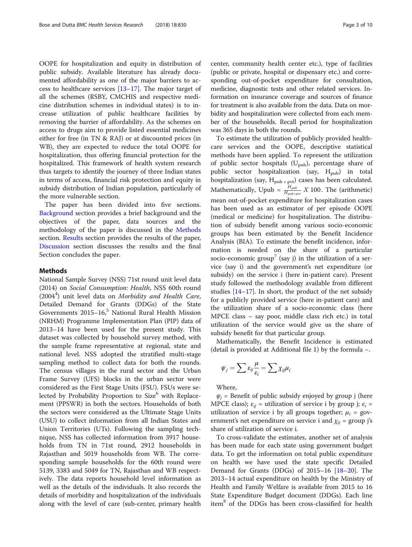OOPE for hospitalization and equity in distribution of public subsidy. Available literature has already documented affordability as one of the major barriers to access to healthcare services [\[13](#page-9-0)–[17\]](#page-9-0). The major target of all the schemes (RSBY, CMCHIS and respective medicine distribution schemes in individual states) is to increase utilization of public healthcare facilities by removing the barrier of affordability. As the schemes on access to drugs aim to provide listed essential medicines either for free (in TN & RAJ) or at discounted prices (in WB), they are expected to reduce the total OOPE for hospitalization, thus offering financial protection for the hospitalized. This framework of health system research thus targets to identify the journey of three Indian states in terms of access, financial risk protection and equity in subsidy distribution of Indian population, particularly of the more vulnerable section.

The paper has been divided into five sections. [Background](#page-1-0) section provides a brief background and the objectives of the paper, data sources and the methodology of the paper is discussed in the Methods section. [Results](#page-3-0) section provides the results of the paper, [Discussion](#page-3-0) section discusses the results and the final Section concludes the paper.

## Methods

National Sample Survey (NSS) 71st round unit level data (2014) on Social Consumption: Health, NSS 60th round  $(2004<sup>4</sup>)$  unit level data on Morbidity and Health Care, Detailed Demand for Grants (DDGs) of the State Governments  $2015-16$ ,<sup>5</sup> National Rural Health Mission (NRHM) Programme Implementation Plan (PIP) data of 2013–14 have been used for the present study. This dataset was collected by household survey method, with the sample frame representative at regional, state and national level. NSS adopted the stratified multi-stage sampling method to collect data for both the rounds. The census villages in the rural sector and the Urban Frame Survey (UFS) blocks in the urban sector were considered as the First Stage Units (FSU). FSUs were selected by Probability Proportion to Size<sup>6</sup> with Replacement (PPSWR) in both the sectors. Households of both the sectors were considered as the Ultimate Stage Units (USU) to collect information from all Indian States and Union Territories (UTs). Following the sampling technique, NSS has collected information from 3917 households from TN in 71st round, 2912 households in Rajasthan and 5019 households from WB. The corresponding sample households for the 60th round were 5139, 3383 and 5049 for TN, Rajasthan and WB respectively. The data reports household level information as well as the details of the individuals. It also records the details of morbidity and hospitalization of the individuals along with the level of care (sub-center, primary health center, community health center etc.), type of facilities (public or private, hospital or dispensary etc.) and corresponding out-of-pocket expenditure for consultation, medicine, diagnostic tests and other related services. Information on insurance coverage and sources of finance for treatment is also available from the data. Data on morbidity and hospitalization were collected from each member of the households. Recall period for hospitalization was 365 days in both the rounds.

To estimate the utilization of publicly provided healthcare services and the OOPE, descriptive statistical methods have been applied. To represent the utilization of public sector hospitals  $(U_{pub})$ , percentage share of public sector hospitalization (say,  $H_{\text{pub}}$ ) in total hospitalization (say,  $H_{pub + pvt}$ ) cases has been calculated. Mathematically, Upub =  $\frac{H_{pub}}{H_{pub+put}} X 100$ . The (arithmetic) mean out-of-pocket expenditure for hospitalization cases has been used as an estimator of per episode OOPE (medical or medicine) for hospitalization. The distribution of subsidy benefit among various socio-economic groups has been estimated by the Benefit Incidence Analysis (BIA). To estimate the benefit incidence, information is needed on the share of a particular socio-economic group<sup>7</sup> (say j) in the utilization of a service (say i) and the government's net expenditure (or subsidy) on the service i (here in-patient care). Present study followed the methodology available from different studies [\[14](#page-9-0)–[17](#page-9-0)]. In short, the product of the net subsidy for a publicly provided service (here in-patient care) and the utilization share of a socio-economic class (here MPCE class – say poor, middle class rich etc.) in total utilization of the service would give us the share of subsidy benefit for that particular group.

Mathematically, the Benefit Incidence is estimated (detail is provided at Additional file [1](#page-9-0)) by the formula –.

$$
\psi_j = \sum \varepsilon_{ij} \frac{\mu}{\varepsilon_i} = \sum \chi_{ij} \mu_i
$$

Where,

 $\psi_i$  = Benefit of public subsidy enjoyed by group j (here MPCE class);  $\varepsilon_{ii}$  = utilization of service i by group j;  $\varepsilon_{i}$  = utilization of service i by all groups together;  $\mu_i =$  government's net expenditure on service i and  $\chi_{ii}$  = group j's share of utilization of service i.

To cross-validate the estimates, another set of analysis has been made for each state using government budget data. To get the information on total public expenditure on health we have used the state specific Detailed Demand for Grants (DDGs) of 2015–16 [[18](#page-9-0)–[20](#page-9-0)]. The 2013–14 actual expenditure on health by the Ministry of Health and Family Welfare is available from 2015 to 16 State Expenditure Budget document (DDGs). Each line item<sup>8</sup> of the DDGs has been cross-classified for health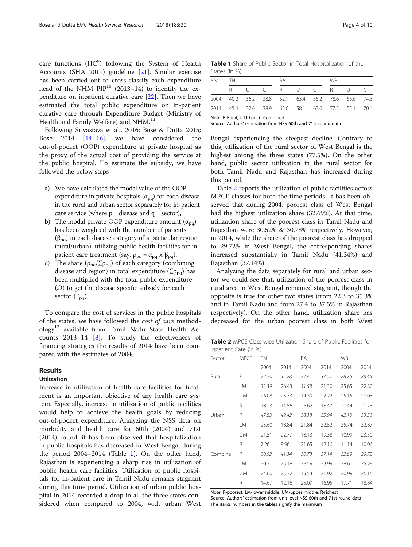<span id="page-3-0"></span>care functions (HC<sup>9</sup>) following the System of Health Accounts (SHA 2011) guideline [\[21\]](#page-9-0). Similar exercise has been carried out to cross-classify each expenditure head of the NHM  $\text{PIP}^{10}$  (2013–14) to identify the expenditure on inpatient curative care [\[22](#page-9-0)]. Then we have estimated the total public expenditure on in-patient curative care through Expenditure Budget (Ministry of Health and Family Welfare) and NHM.<sup>11</sup>

Following Srivastava et al., 2016; Bose & Dutta 2015; Bose 2014 [\[14](#page-9-0)–[16\]](#page-9-0), we have considered the out-of-pocket (OOP) expenditure at private hospital as the proxy of the actual cost of providing the service at the public hospital. To estimate the subsidy, we have followed the below steps –

- a) We have calculated the modal value of the OOP expenditure in private hospitals ( $\alpha_{pq}$ ) for each disease in the rural and urban sector separately for in-patient care service (where  $p =$  disease and  $q =$  sector),
- b) The modal private OOP expenditure amount  $(\alpha_{\rm no})$ has been weighted with the number of patients  $(\beta_{\text{p,q}})$  in each disease category of a particular region (rural/urban), utilizing public health facilities for inpatient care treatment (say,  $\rho_{pq} = \alpha_{pq} x \beta_{pq}$ ).
- c) The share ( $\rho_{pq}/\Sigma \rho_{pq}$ ) of each category (combining disease and region) in total expenditure ( $\Sigma \rho_{pq}$ ) has been multiplied with the total public expenditure  $(\Omega)$  to get the disease specific subsidy for each sector  $(\Gamma_{\text{pq}})$ .

To compare the cost of services in the public hospitals of the states, we have followed the cost of care method- $\omega$ ology<sup>12</sup> available from Tamil Nadu State Health Accounts 2013–14 [\[8](#page-9-0)]. To study the effectiveness of financing strategies the results of 2014 have been compared with the estimates of 2004.

## Results

## Utilization

Increase in utilization of health care facilities for treatment is an important objective of any health care system. Especially, increase in utilization of public facilities would help to achieve the health goals by reducing out-of-pocket expenditure. Analyzing the NSS data on morbidity and health care for 60th (2004) and 71st (2014) round, it has been observed that hospitalization in public hospitals has decreased in West Bengal during the period 2004–2014 (Table 1). On the other hand, Rajasthan is experiencing a sharp rise in utilization of public health care facilities. Utilization of public hospitals for in-patient care in Tamil Nadu remains stagnant during this time period. Utilization of urban public hospital in 2014 recorded a drop in all the three states considered when compared to 2004, with urban West

Table 1 Share of Public Sector in Total Hospitalization of the States (in %)

| Year | <b>TN</b> |                                                   |  | RAJ       |  |  | <b>WR</b> |  |  |
|------|-----------|---------------------------------------------------|--|-----------|--|--|-----------|--|--|
|      |           |                                                   |  | RUCRUCRUC |  |  |           |  |  |
|      |           | 2004 40.2 36.2 38.8 52.1 63.4 55.2 78.6 65.6 74.3 |  |           |  |  |           |  |  |
|      |           | 2014 45.4 32.6 38.9 65.6 58.1 63.6 77.5 55.1 70.4 |  |           |  |  |           |  |  |

Note: R-Rural, U-Urban, C-Combined

Source: Authors' estimation from NSS 60th and 71st round data

Bengal experiencing the steepest decline. Contrary to this, utilization of the rural sector of West Bengal is the highest among the three states (77.5%). On the other hand, public sector utilization in the rural sector for both Tamil Nadu and Rajasthan has increased during this period.

Table 2 reports the utilization of public facilities across MPCE classes for both the time periods. It has been observed that during 2004, poorest class of West Bengal had the highest utilization share (32.69%). At that time, utilization share of the poorest class in Tamil Nadu and Rajasthan were 30.52% & 30.78% respectively. However, in 2014, while the share of the poorest class has dropped to 29.72% in West Bengal, the corresponding shares increased substantially in Tamil Nadu (41.34%) and Rajasthan (37.14%).

Analyzing the data separately for rural and urban sector we could see that, utilization of the poorest class in rural area in West Bengal remained stagnant, though the opposite is true for other two states (from 22.3 to 35.3% and in Tamil Nadu and from 27.4 to 37.5% in Rajasthan respectively). On the other hand, utilization share has decreased for the urban poorest class in both West

**Table 2** MPCE Class wise Utilization Share of Public Facilities for Inpatient Care (in %)

| Sector  | <b>MPCE</b> | <b>TN</b> |       | RAJ   |       |       | <b>WB</b> |  |
|---------|-------------|-----------|-------|-------|-------|-------|-----------|--|
|         |             | 2004      | 2014  | 2004  | 2014  | 2004  | 2014      |  |
| Rural   | P           | 22.30     | 35.28 | 27.41 | 37.51 | 28.76 | 28.45     |  |
|         | LM          | 33.39     | 26.43 | 31.58 | 21.30 | 25.65 | 22.80     |  |
|         | <b>UM</b>   | 26.08     | 23.73 | 14.39 | 22.72 | 25.15 | 27.03     |  |
|         | R           | 18.23     | 14.56 | 26.62 | 18.47 | 20.44 | 21.73     |  |
| Urban   | P           | 47.63     | 49.42 | 38.38 | 35.94 | 42.13 | 33.56     |  |
|         | LM          | 23.60     | 18.84 | 21.84 | 32.52 | 35.74 | 32.87     |  |
|         | <b>UM</b>   | 21.51     | 22.77 | 18.13 | 19.38 | 10.99 | 23.50     |  |
|         | R           | 7.26      | 8.96  | 21.65 | 12.16 | 11.14 | 10.06     |  |
| Combine | P           | 30.52     | 41.34 | 30.78 | 37.14 | 32.69 | 29.72     |  |
|         | LM          | 30.21     | 23.18 | 28.59 | 23.99 | 28.61 | 25.29     |  |
|         | <b>UM</b>   | 24.60     | 23.32 | 15.54 | 21.92 | 20.99 | 26.16     |  |
|         | R           | 14.67     | 12.16 | 25.09 | 16.95 | 17.71 | 18.84     |  |

Note: P-poorest, LM-lower middle, UM-upper middle, R-richest Source: Authors' estimation from unit level NSS 60th and 71st round data The italics numbers in the tables signify the maximum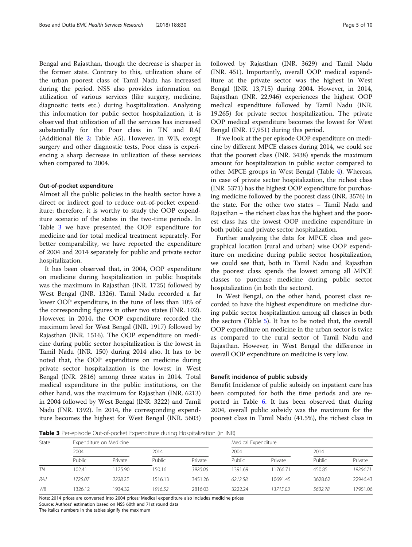Bengal and Rajasthan, though the decrease is sharper in the former state. Contrary to this, utilization share of the urban poorest class of Tamil Nadu has increased during the period. NSS also provides information on utilization of various services (like surgery, medicine, diagnostic tests etc.) during hospitalization. Analyzing this information for public sector hospitalization, it is observed that utilization of all the services has increased substantially for the Poor class in TN and RAJ (Additional file [2:](#page-9-0) Table A5). However, in WB, except surgery and other diagnostic tests, Poor class is experiencing a sharp decrease in utilization of these services when compared to 2004.

## Out-of-pocket expenditure

Almost all the public policies in the health sector have a direct or indirect goal to reduce out-of-pocket expenditure; therefore, it is worthy to study the OOP expenditure scenario of the states in the two-time periods. In Table 3 we have presented the OOP expenditure for medicine and for total medical treatment separately. For better comparability, we have reported the expenditure of 2004 and 2014 separately for public and private sector hospitalization.

It has been observed that, in 2004, OOP expenditure on medicine during hospitalization in public hospitals was the maximum in Rajasthan (INR. 1725) followed by West Bengal (INR. 1326). Tamil Nadu recorded a far lower OOP expenditure, in the tune of less than 10% of the corresponding figures in other two states (INR. 102). However, in 2014, the OOP expenditure recorded the maximum level for West Bengal (INR. 1917) followed by Rajasthan (INR. 1516). The OOP expenditure on medicine during public sector hospitalization is the lowest in Tamil Nadu (INR. 150) during 2014 also. It has to be noted that, the OOP expenditure on medicine during private sector hospitalization is the lowest in West Bengal (INR. 2816) among three states in 2014. Total medical expenditure in the public institutions, on the other hand, was the maximum for Rajasthan (INR. 6213) in 2004 followed by West Bengal (INR. 3222) and Tamil Nadu (INR. 1392). In 2014, the corresponding expenditure becomes the highest for West Bengal (INR. 5603)

followed by Rajasthan (INR. 3629) and Tamil Nadu (INR. 451). Importantly, overall OOP medical expenditure at the private sector was the highest in West Bengal (INR. 13,715) during 2004. However, in 2014, Rajasthan (INR. 22,946) experiences the highest OOP medical expenditure followed by Tamil Nadu (INR. 19,265) for private sector hospitalization. The private OOP medical expenditure becomes the lowest for West Bengal (INR. 17,951) during this period.

If we look at the per episode OOP expenditure on medicine by different MPCE classes during 2014, we could see that the poorest class (INR. 3438) spends the maximum amount for hospitalization in public sector compared to other MPCE groups in West Bengal (Table [4\)](#page-5-0). Whereas, in case of private sector hospitalization, the richest class (INR. 5371) has the highest OOP expenditure for purchasing medicine followed by the poorest class (INR. 3576) in the state. For the other two states – Tamil Nadu and Rajasthan – the richest class has the highest and the poorest class has the lowest OOP medicine expenditure in both public and private sector hospitalization.

Further analyzing the data for MPCE class and geographical location (rural and urban) wise OOP expenditure on medicine during public sector hospitalization, we could see that, both in Tamil Nadu and Rajasthan the poorest class spends the lowest among all MPCE classes to purchase medicine during public sector hospitalization (in both the sectors).

In West Bengal, on the other hand, poorest class recorded to have the highest expenditure on medicine during public sector hospitalization among all classes in both the sectors (Table [5](#page-5-0)). It has to be noted that, the overall OOP expenditure on medicine in the urban sector is twice as compared to the rural sector of Tamil Nadu and Rajasthan. However, in West Bengal the difference in overall OOP expenditure on medicine is very low.

## Benefit incidence of public subsidy

Benefit Incidence of public subsidy on inpatient care has been computed for both the time periods and are reported in Table [6.](#page-5-0) It has been observed that during 2004, overall public subsidy was the maximum for the poorest class in Tamil Nadu (41.5%), the richest class in

Table 3 Per-episode Out-of-pocket Expenditure during Hospitalization (in INR)

| State      |         | Expenditure on Medicine |         |         |         | Medical Expenditure |         |          |  |
|------------|---------|-------------------------|---------|---------|---------|---------------------|---------|----------|--|
|            | 2004    |                         |         | 2014    |         | 2004                |         | 2014     |  |
|            | Public  | Private                 | Public  | Private | Public  | Private             | Public  | Private  |  |
| TN         | 102.41  | 1125.90                 | 150.16  | 3920.06 | 1391.69 | 11766.71            | 450.85  | 19264.71 |  |
| <b>RAJ</b> | 1725.07 | 2228.25                 | 1516.13 | 3451.26 | 6212.58 | 10691.45            | 3628.62 | 22946.43 |  |
| <b>WB</b>  | 326.12  | 1934.32                 | 1916.52 | 2816.03 | 3222.24 | 13715.03            | 5602.78 | 17951.06 |  |

Note: 2014 prices are converted into 2004 prices; Medical expenditure also includes medicine prices

Source: Authors' estimation based on NSS 60th and 71st round data

The italics numbers in the tables signify the maximum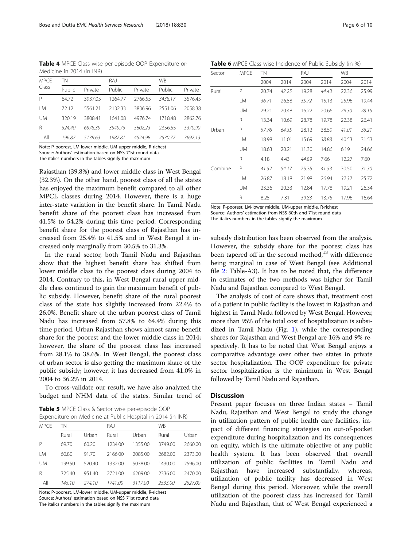<span id="page-5-0"></span>Table 4 MPCE Class wise per-episode OOP Expenditure on Medicine in 2014 (in INR)

| <b>MPCF</b> | TN     |         | RA J    |         | <b>WB</b> |         |  |
|-------------|--------|---------|---------|---------|-----------|---------|--|
| Class       | Public | Private | Public  | Private | Public    | Private |  |
| P           | 64.72  | 3937.05 | 1264.77 | 2766.55 | 3438.17   | 3576.45 |  |
| 1 M         | 72.12  | 5561.21 | 2132.33 | 3836.96 | 2551.06   | 2058.38 |  |
| <b>UM</b>   | 320.19 | 3808.41 | 1641.08 | 4976.74 | 1718.48   | 2862.76 |  |
| R           | 524.40 | 6978.39 | 3549.75 | 5602.23 | 2356.55   | 5370.90 |  |
| All         | 196.87 | 5139.63 | 1987.81 | 4524.98 | 2530.77   | 3692.13 |  |

Note: P-poorest, LM-lower middle, UM-upper middle, R-richest Source: Authors' estimation based on NSS 71st round data The italics numbers in the tables signify the maximum

Rajasthan (39.8%) and lower middle class in West Bengal (32.3%). On the other hand, poorest class of all the states has enjoyed the maximum benefit compared to all other MPCE classes during 2014. However, there is a huge inter-state variation in the benefit share. In Tamil Nadu benefit share of the poorest class has increased from 41.5% to 54.2% during this time period. Corresponding benefit share for the poorest class of Rajasthan has increased from 25.4% to 41.5% and in West Bengal it increased only marginally from 30.5% to 31.3%.

In the rural sector, both Tamil Nadu and Rajasthan show that the highest benefit share has shifted from lower middle class to the poorest class during 2004 to 2014. Contrary to this, in West Bengal rural upper middle class continued to gain the maximum benefit of public subsidy. However, benefit share of the rural poorest class of the state has slightly increased from 22.4% to 26.0%. Benefit share of the urban poorest class of Tamil Nadu has increased from 57.8% to 64.4% during this time period. Urban Rajasthan shows almost same benefit share for the poorest and the lower middle class in 2014; however, the share of the poorest class has increased from 28.1% to 38.6%. In West Bengal, the poorest class of urban sector is also getting the maximum share of the public subsidy; however, it has decreased from 41.0% in 2004 to 36.2% in 2014.

To cross-validate our result, we have also analyzed the budget and NHM data of the states. Similar trend of

Table 5 MPCE Class & Sector wise per-episode OOP Expenditure on Medicine at Public Hospital in 2014 (in INR)

| <b>MPCE</b> | TN     |        | RAJ     |         | <b>WB</b> |         |  |
|-------------|--------|--------|---------|---------|-----------|---------|--|
|             | Rural  | Urban  | Rural   | Urban   | Rural     | Urban   |  |
| P           | 69.70  | 60.20  | 1234.00 | 1355.00 | 3749.00   | 2660.00 |  |
| LM          | 60.80  | 91.70  | 2166.00 | 2085.00 | 2682.00   | 2373.00 |  |
| <b>UM</b>   | 199.50 | 520.40 | 1332.00 | 5038.00 | 1430.00   | 2596.00 |  |
| R           | 325.40 | 951.40 | 2721.00 | 6209.00 | 2336.00   | 2470.00 |  |
| All         | 145.10 | 274.10 | 1741.00 | 3117.00 | 2533.00   | 2527.00 |  |

Note: P-poorest, LM-lower middle, UM-upper middle, R-richest Source: Authors' estimation based on NSS 71st round data The italics numbers in the tables signify the maximum

2004 2014 2004 2014 2004 2014 Rural P 20.74 42.25 19.28 44.43 22.36 25.99 LM 36.71 26.58 35.72 15.13 25.96 19.44 UM 29.21 20.48 16.22 20.66 29.30 28.15 R 13.34 10.69 28.78 19.78 22.38 26.41

Urban P 57.76 64.35 28.12 38.59 41.01 36.21

Combine P 41.52 54.17 25.35 41.53 30.50 31.30

LM 18.98 11.01 15.69 38.88 40.53 31.53 UM 18.63 20.21 11.30 14.86 6.19 24.66 R 4.18 4.43 44.89 7.66 12.27 7.60

LM 26.87 18.18 21.98 26.94 32.32 25.72 UM 23.36 20.33 12.84 17.78 19.21 26.34 R 8.25 7.31 39.83 13.75 17.96 16.64

Table 6 MPCE Class wise Incidence of Public Subsidy (in %) Sector MPCE TN RAJ WB

Note: P-poorest, LM-lower middle, UM-upper middle, R-richest Source: Authors' estimation from NSS 60th and 71st round data The italics numbers in the tables signify the maximum

subsidy distribution has been observed from the analysis. However, the subsidy share for the poorest class has been tapered off in the second method,<sup>13</sup> with difference being marginal in case of West Bengal (see Additional file [2:](#page-9-0) Table-A3). It has to be noted that, the difference in estimates of the two methods was higher for Tamil Nadu and Rajasthan compared to West Bengal.

The analysis of cost of care shows that, treatment cost of a patient in public facility is the lowest in Rajasthan and highest in Tamil Nadu followed by West Bengal. However, more than 95% of the total cost of hospitalization is subsidized in Tamil Nadu (Fig. [1](#page-6-0)), while the corresponding shares for Rajasthan and West Bengal are 16% and 9% respectively. It has to be noted that West Bengal enjoys a comparative advantage over other two states in private sector hospitalization. The OOP expenditure for private sector hospitalization is the minimum in West Bengal followed by Tamil Nadu and Rajasthan.

## **Discussion**

Present paper focuses on three Indian states – Tamil Nadu, Rajasthan and West Bengal to study the change in utilization pattern of public health care facilities, impact of different financing strategies on out-of-pocket expenditure during hospitalization and its consequences on equity, which is the ultimate objective of any public health system. It has been observed that overall utilization of public facilities in Tamil Nadu and Rajasthan have increased substantially, whereas, utilization of public facility has decreased in West Bengal during this period. Moreover, while the overall utilization of the poorest class has increased for Tamil Nadu and Rajasthan, that of West Bengal experienced a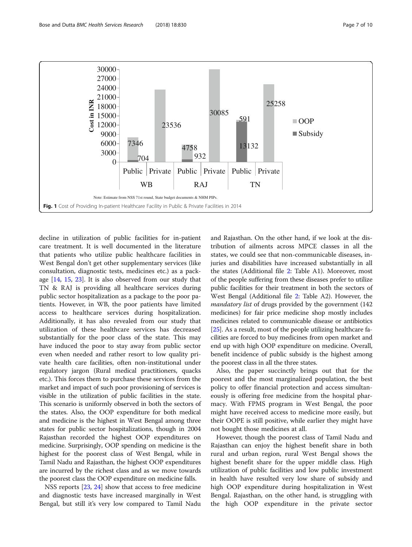<span id="page-6-0"></span>

decline in utilization of public facilities for in-patient care treatment. It is well documented in the literature that patients who utilize public healthcare facilities in West Bengal don't get other supplementary services (like consultation, diagnostic tests, medicines etc.) as a package [\[14,](#page-9-0) [15,](#page-9-0) [23](#page-9-0)]. It is also observed from our study that TN & RAJ is providing all healthcare services during public sector hospitalization as a package to the poor patients. However, in WB, the poor patients have limited access to healthcare services during hospitalization. Additionally, it has also revealed from our study that utilization of these healthcare services has decreased substantially for the poor class of the state. This may have induced the poor to stay away from public sector even when needed and rather resort to low quality private health care facilities, often non-institutional under regulatory jargon (Rural medical practitioners, quacks etc.). This forces them to purchase these services from the market and impact of such poor provisioning of services is visible in the utilization of public facilities in the state. This scenario is uniformly observed in both the sectors of the states. Also, the OOP expenditure for both medical and medicine is the highest in West Bengal among three states for public sector hospitalizations, though in 2004 Rajasthan recorded the highest OOP expenditures on medicine. Surprisingly, OOP spending on medicine is the highest for the poorest class of West Bengal, while in Tamil Nadu and Rajasthan, the highest OOP expenditures are incurred by the richest class and as we move towards the poorest class the OOP expenditure on medicine falls.

NSS reports [[23,](#page-9-0) [24\]](#page-9-0) show that access to free medicine and diagnostic tests have increased marginally in West Bengal, but still it's very low compared to Tamil Nadu

and Rajasthan. On the other hand, if we look at the distribution of ailments across MPCE classes in all the states, we could see that non-communicable diseases, injuries and disabilities have increased substantially in all the states (Additional file [2:](#page-9-0) Table A1). Moreover, most of the people suffering from these diseases prefer to utilize public facilities for their treatment in both the sectors of West Bengal (Additional file [2](#page-9-0): Table A2). However, the mandatory list of drugs provided by the government (142 medicines) for fair price medicine shop mostly includes medicines related to communicable disease or antibiotics [[25](#page-9-0)]. As a result, most of the people utilizing healthcare facilities are forced to buy medicines from open market and end up with high OOP expenditure on medicine. Overall, benefit incidence of public subsidy is the highest among the poorest class in all the three states.

Also, the paper succinctly brings out that for the poorest and the most marginalized population, the best policy to offer financial protection and access simultaneously is offering free medicine from the hospital pharmacy. With FPMS program in West Bengal, the poor might have received access to medicine more easily, but their OOPE is still positive, while earlier they might have not bought those medicines at all.

However, though the poorest class of Tamil Nadu and Rajasthan can enjoy the highest benefit share in both rural and urban region, rural West Bengal shows the highest benefit share for the upper middle class. High utilization of public facilities and low public investment in health have resulted very low share of subsidy and high OOP expenditure during hospitalization in West Bengal. Rajasthan, on the other hand, is struggling with the high OOP expenditure in the private sector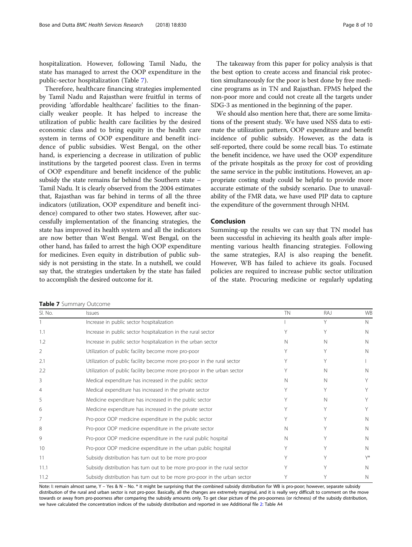hospitalization. However, following Tamil Nadu, the state has managed to arrest the OOP expenditure in the public-sector hospitalization (Table 7).

Therefore, healthcare financing strategies implemented by Tamil Nadu and Rajasthan were fruitful in terms of providing 'affordable healthcare' facilities to the financially weaker people. It has helped to increase the utilization of public health care facilities by the desired economic class and to bring equity in the health care system in terms of OOP expenditure and benefit incidence of public subsidies. West Bengal, on the other hand, is experiencing a decrease in utilization of public institutions by the targeted poorest class. Even in terms of OOP expenditure and benefit incidence of the public subsidy the state remains far behind the Southern state – Tamil Nadu. It is clearly observed from the 2004 estimates that, Rajasthan was far behind in terms of all the three indicators (utilization, OOP expenditure and benefit incidence) compared to other two states. However, after successfully implementation of the financing strategies, the state has improved its health system and all the indicators are now better than West Bengal. West Bengal, on the other hand, has failed to arrest the high OOP expenditure for medicines. Even equity in distribution of public subsidy is not persisting in the state. In a nutshell, we could say that, the strategies undertaken by the state has failed to accomplish the desired outcome for it.

Table 7 Summary Outcome

The takeaway from this paper for policy analysis is that the best option to create access and financial risk protection simultaneously for the poor is best done by free medicine programs as in TN and Rajasthan. FPMS helped the non-poor more and could not create all the targets under SDG-3 as mentioned in the beginning of the paper.

We should also mention here that, there are some limitations of the present study. We have used NSS data to estimate the utilization pattern, OOP expenditure and benefit incidence of public subsidy. However, as the data is self-reported, there could be some recall bias. To estimate the benefit incidence, we have used the OOP expenditure of the private hospitals as the proxy for cost of providing the same service in the public institutions. However, an appropriate costing study could be helpful to provide more accurate estimate of the subsidy scenario. Due to unavailability of the FMR data, we have used PIP data to capture the expenditure of the government through NHM.

## Conclusion

Summing-up the results we can say that TN model has been successful in achieving its health goals after implementing various health financing strategies. Following the same strategies, RAJ is also reaping the benefit. However, WB has failed to achieve its goals. Focused policies are required to increase public sector utilization of the state. Procuring medicine or regularly updating

| SI. No. | <b>Issues</b>                                                             | <b>TN</b> | RAJ         | <b>WB</b> |
|---------|---------------------------------------------------------------------------|-----------|-------------|-----------|
|         | Increase in public sector hospitalization                                 |           |             | N         |
| 1.1     | Increase in public sector hospitalization in the rural sector             |           |             | N         |
| 1.2     | Increase in public sector hospitalization in the urban sector             | N         | N           | N         |
| 2       | Utilization of public facility become more pro-poor                       |           | ٧           | N         |
| 2.7     | Utilization of public facility become more pro-poor in the rural sector   |           | Υ           |           |
| 2.2     | Utilization of public facility become more pro-poor in the urban sector   |           | $\mathbb N$ | N         |
| 3       | Medical expenditure has increased in the public sector                    | N         | N           |           |
| 4       | Medical expenditure has increased in the private sector                   |           | Υ           |           |
| 5       | Medicine expenditure has increased in the public sector                   |           | N           |           |
| 6       | Medicine expenditure has increased in the private sector                  |           | ٧           |           |
|         | Pro-poor OOP medicine expenditure in the public sector                    |           |             | N         |
| 8       | Pro-poor OOP medicine expenditure in the private sector                   | N         |             | N         |
| 9       | Pro-poor OOP medicine expenditure in the rural public hospital            | N         |             | N         |
| 10      | Pro-poor OOP medicine expenditure in the urban public hospital            |           |             | N         |
| 11      | Subsidy distribution has turn out to be more pro-poor                     |           |             | $Y^*$     |
| 11.1    | Subsidy distribution has turn out to be more pro-poor in the rural sector |           |             | N         |
| 11.2    | Subsidy distribution has turn out to be more pro-poor in the urban sector |           |             | N         |

Note: I: remain almost same, Y - Yes & N - No. \* it might be surprising that the combined subsidy distribution for WB is pro-poor; however, separate subsidy distribution of the rural and urban sector is not pro-poor. Basically, all the changes are extremely marginal, and it is really very difficult to comment on the move towards or away from pro-poorness after comparing the subsidy amounts only. To get clear picture of the pro-poorness (or richness) of the subsidy distribution, we have calculated the concentration indices of the subsidy distribution and reported in see Additional file [2](#page-9-0): Table A4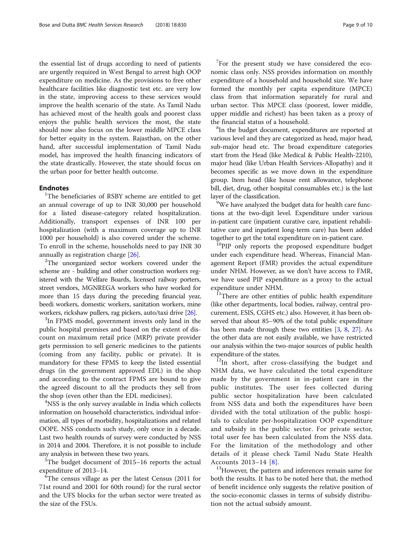the essential list of drugs according to need of patients are urgently required in West Bengal to arrest high OOP expenditure on medicine. As the provisions to free other healthcare facilities like diagnostic test etc. are very low in the state, improving access to these services would improve the health scenario of the state. As Tamil Nadu has achieved most of the health goals and poorest class enjoys the public health services the most, the state should now also focus on the lower middle MPCE class for better equity in the system. Rajasthan, on the other hand, after successful implementation of Tamil Nadu model, has improved the health financing indicators of the state drastically. However, the state should focus on the urban poor for better health outcome.

## **Endnotes**

<sup>1</sup>The beneficiaries of RSBY scheme are entitled to get an annual coverage of up to INR 30,000 per household for a listed disease-category related hospitalization. Additionally, transport expenses of INR 100 per hospitalization (with a maximum coverage up to INR 1000 per household) is also covered under the scheme. To enroll in the scheme, households need to pay INR 30 annually as registration charge  $[26]$  $[26]$ .

<sup>2</sup>The unorganized sector workers covered under the scheme are - building and other construction workers registered with the Welfare Boards, licensed railway porters, street vendors, MGNREGA workers who have worked for more than 15 days during the preceding financial year, beedi workers, domestic workers, sanitation workers, mine workers, rickshaw pullers, rag pickers, auto/taxi drive [[26](#page-9-0)].

<sup>3</sup>In FPMS model, government invests only land in the public hospital premises and based on the extent of discount on maximum retail price (MRP) private provider gets permission to sell generic medicines to the patients (coming from any facility, public or private). It is mandatory for these FPMS to keep the listed essential drugs (in the government approved EDL) in the shop and according to the contract FPMS are bound to give the agreed discount to all the products they sell from the shop (even other than the EDL medicines). <sup>4</sup>

<sup>4</sup>NSS is the only survey available in India which collects information on household characteristics, individual information, all types of morbidity, hospitalizations and related OOPE. NSS conducts such study, only once in a decade. Last two health rounds of survey were conducted by NSS in 2014 and 2004. Therefore, it is not possible to include any analysis in between these two years.

 $5$ The budget document of 2015–16 reports the actual expenditure of 2013-14.

The census village as per the latest Census (2011 for 71st round and 2001 for 60th round) for the rural sector and the UFS blocks for the urban sector were treated as the size of the FSUs.

<sup>7</sup>For the present study we have considered the economic class only. NSS provides information on monthly expenditure of a household and household size. We have formed the monthly per capita expenditure (MPCE) class from that information separately for rural and urban sector. This MPCE class (poorest, lower middle, upper middle and richest) has been taken as a proxy of the financial status of a household.

<sup>8</sup>In the budget document, expenditures are reported at various level and they are categorized as head, major head, sub-major head etc. The broad expenditure categories start from the Head (like Medical & Public Health-2210), major head (like Urban Health Services-Allopathy) and it becomes specific as we move down in the expenditure group. Item head (like house rent allowance, telephone bill, diet, drug, other hospital consumables etc.) is the last layer of the classification.

<sup>9</sup>We have analyzed the budget data for health care functions at the two-digit level. Expenditure under various in-patient care (inpatient curative care, inpatient rehabilitative care and inpatient long-term care) has been added

together to get the total expenditure on in-patient care.<br><sup>10</sup>PIP only reports the proposed expenditure budget under each expenditure head. Whereas, Financial Management Report (FMR) provides the actual expenditure under NHM. However, as we don't have access to FMR, we have used PIP expenditure as a proxy to the actual expenditure under NHM.<br><sup>11</sup>There are other entities of public health expenditure

(like other departments, local bodies, railway, central procurement, ESIS, CGHS etc.) also. However, it has been observed that about 85–90% of the total public expenditure has been made through these two entities [\[3,](#page-9-0) [8,](#page-9-0) [27\]](#page-9-0). As the other data are not easily available, we have restricted our analysis within the two-major sources of public health expenditure of the states.<br> $12$ In short, after cross-classifying the budget and

NHM data, we have calculated the total expenditure made by the government in in-patient care in the public institutes. The user fees collected during public sector hospitalization have been calculated from NSS data and both the expenditures have been divided with the total utilization of the public hospitals to calculate per-hospitalization OOP expenditure and subsidy in the public sector. For private sector, total user fee has been calculated from the NSS data. For the limitation of the methodology and other details of it please check Tamil Nadu State Health Accounts 2013–14 [[8\]](#page-9-0).<br><sup>13</sup>However, the pattern and inferences remain same for

both the results. It has to be noted here that, the method of benefit incidence only suggests the relative position of the socio-economic classes in terms of subsidy distribution not the actual subsidy amount.